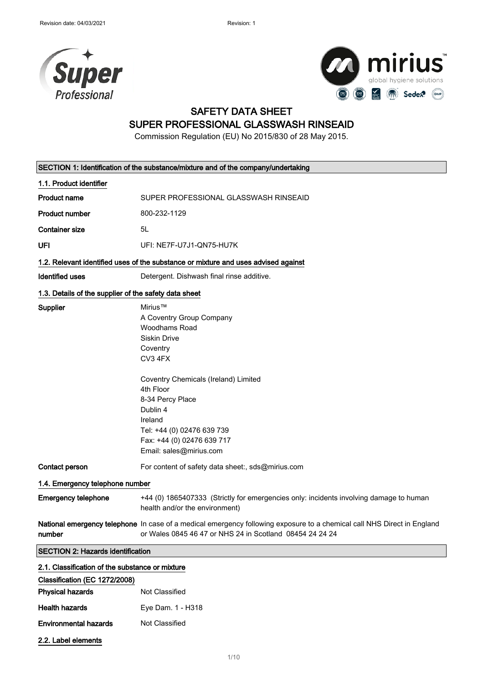



### SAFETY DATA SHEET SUPER PROFESSIONAL GLASSWASH RINSEAID

Commission Regulation (EU) No 2015/830 of 28 May 2015.

| SECTION 1: Identification of the substance/mixture and of the company/undertaking |                                                                                                                                                                                                                                                                                    |  |
|-----------------------------------------------------------------------------------|------------------------------------------------------------------------------------------------------------------------------------------------------------------------------------------------------------------------------------------------------------------------------------|--|
| 1.1. Product identifier                                                           |                                                                                                                                                                                                                                                                                    |  |
| <b>Product name</b>                                                               | SUPER PROFESSIONAL GLASSWASH RINSEAID                                                                                                                                                                                                                                              |  |
| <b>Product number</b>                                                             | 800-232-1129                                                                                                                                                                                                                                                                       |  |
| <b>Container size</b>                                                             | 5L                                                                                                                                                                                                                                                                                 |  |
| UFI                                                                               | UFI: NE7F-U7J1-QN75-HU7K                                                                                                                                                                                                                                                           |  |
|                                                                                   | 1.2. Relevant identified uses of the substance or mixture and uses advised against                                                                                                                                                                                                 |  |
| <b>Identified uses</b>                                                            | Detergent. Dishwash final rinse additive.                                                                                                                                                                                                                                          |  |
| 1.3. Details of the supplier of the safety data sheet                             |                                                                                                                                                                                                                                                                                    |  |
| <b>Supplier</b>                                                                   | Mirius™<br>A Coventry Group Company<br>Woodhams Road<br>Siskin Drive<br>Coventry<br>CV3 4FX<br>Coventry Chemicals (Ireland) Limited<br>4th Floor<br>8-34 Percy Place<br>Dublin 4<br>Ireland<br>Tel: +44 (0) 02476 639 739<br>Fax: +44 (0) 02476 639 717<br>Email: sales@mirius.com |  |
| Contact person                                                                    | For content of safety data sheet:, sds@mirius.com                                                                                                                                                                                                                                  |  |
| 1.4. Emergency telephone number                                                   |                                                                                                                                                                                                                                                                                    |  |
| <b>Emergency telephone</b>                                                        | +44 (0) 1865407333 (Strictly for emergencies only: incidents involving damage to human<br>health and/or the environment)                                                                                                                                                           |  |
| number                                                                            | National emergency telephone In case of a medical emergency following exposure to a chemical call NHS Direct in England<br>or Wales 0845 46 47 or NHS 24 in Scotland 08454 24 24 24                                                                                                |  |
| <b>SECTION 2: Hazards identification</b>                                          |                                                                                                                                                                                                                                                                                    |  |
| 2.1. Classification of the substance or mixture                                   |                                                                                                                                                                                                                                                                                    |  |
| Classification (EC 1272/2008)                                                     |                                                                                                                                                                                                                                                                                    |  |
| <b>Physical hazards</b>                                                           | Not Classified                                                                                                                                                                                                                                                                     |  |
|                                                                                   |                                                                                                                                                                                                                                                                                    |  |

Health hazards **Eye Dam. 1 - H318** Environmental hazards Not Classified

2.2. Label elements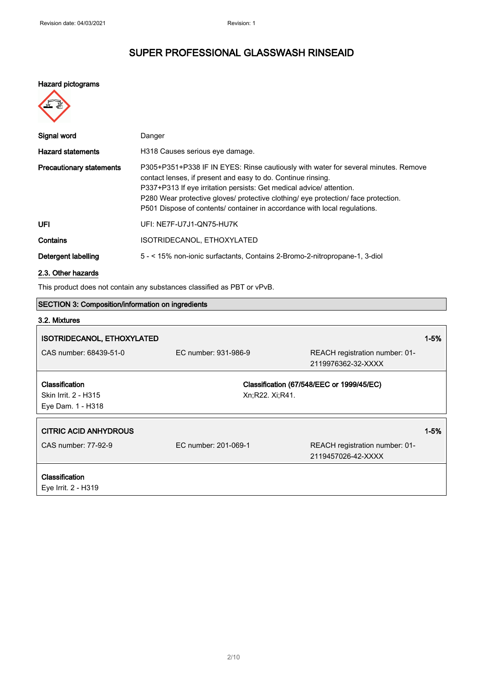#### Hazard pictograms

| Signal word                     | Danger                                                                                                                                                                                                                                                                                                                                                                                        |
|---------------------------------|-----------------------------------------------------------------------------------------------------------------------------------------------------------------------------------------------------------------------------------------------------------------------------------------------------------------------------------------------------------------------------------------------|
| <b>Hazard statements</b>        | H318 Causes serious eye damage.                                                                                                                                                                                                                                                                                                                                                               |
| <b>Precautionary statements</b> | P305+P351+P338 IF IN EYES: Rinse cautiously with water for several minutes. Remove<br>contact lenses, if present and easy to do. Continue rinsing.<br>P337+P313 If eye irritation persists: Get medical advice/ attention.<br>P280 Wear protective gloves/ protective clothing/ eye protection/ face protection.<br>P501 Dispose of contents/ container in accordance with local regulations. |
| UFI                             | UFI: NE7F-U7J1-QN75-HU7K                                                                                                                                                                                                                                                                                                                                                                      |
| Contains                        | ISOTRIDECANOL, ETHOXYLATED                                                                                                                                                                                                                                                                                                                                                                    |
| Detergent labelling             | 5 - < 15% non-ionic surfactants, Contains 2-Bromo-2-nitropropane-1, 3-diol                                                                                                                                                                                                                                                                                                                    |
|                                 |                                                                                                                                                                                                                                                                                                                                                                                               |

### 2.3. Other hazards

This product does not contain any substances classified as PBT or vPvB.

| <b>SECTION 3: Composition/information on ingredients</b> |                      |                                                      |          |
|----------------------------------------------------------|----------------------|------------------------------------------------------|----------|
| 3.2. Mixtures                                            |                      |                                                      |          |
| <b>ISOTRIDECANOL, ETHOXYLATED</b>                        |                      |                                                      | $1 - 5%$ |
| CAS number: 68439-51-0                                   | EC number: 931-986-9 | REACH registration number: 01-<br>2119976362-32-XXXX |          |
| Classification                                           |                      | Classification (67/548/EEC or 1999/45/EC)            |          |
| Skin Irrit. 2 - H315                                     | Xn;R22. Xi;R41.      |                                                      |          |
| Eye Dam. 1 - H318                                        |                      |                                                      |          |
| <b>CITRIC ACID ANHYDROUS</b>                             |                      |                                                      | $1 - 5%$ |
| CAS number: 77-92-9                                      | EC number: 201-069-1 | REACH registration number: 01-                       |          |
|                                                          |                      | 2119457026-42-XXXX                                   |          |
| Classification                                           |                      |                                                      |          |
| Eye Irrit. 2 - H319                                      |                      |                                                      |          |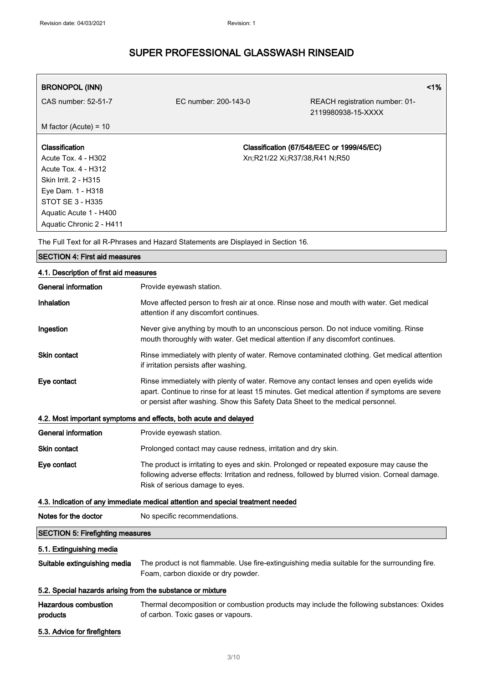| <b>BRONOPOL (INN)</b>    |                               |                                                      | 1% |
|--------------------------|-------------------------------|------------------------------------------------------|----|
| CAS number: 52-51-7      | EC number: 200-143-0          | REACH registration number: 01-<br>2119980938-15-XXXX |    |
| M factor (Acute) = $10$  |                               |                                                      |    |
|                          |                               |                                                      |    |
| Classification           |                               | Classification (67/548/EEC or 1999/45/EC)            |    |
| Acute Tox. 4 - H302      | Xn;R21/22 Xi;R37/38,R41 N;R50 |                                                      |    |
| Acute Tox. 4 - H312      |                               |                                                      |    |
| Skin Irrit. 2 - H315     |                               |                                                      |    |
| Eye Dam. 1 - H318        |                               |                                                      |    |
| STOT SE 3 - H335         |                               |                                                      |    |
| Aquatic Acute 1 - H400   |                               |                                                      |    |
| Aquatic Chronic 2 - H411 |                               |                                                      |    |

The Full Text for all R-Phrases and Hazard Statements are Displayed in Section 16.

| <b>SECTION 4: First aid measures</b>                       |                                                                                                                                                                                                                                                                              |  |
|------------------------------------------------------------|------------------------------------------------------------------------------------------------------------------------------------------------------------------------------------------------------------------------------------------------------------------------------|--|
| 4.1. Description of first aid measures                     |                                                                                                                                                                                                                                                                              |  |
| <b>General information</b>                                 | Provide eyewash station.                                                                                                                                                                                                                                                     |  |
| Inhalation                                                 | Move affected person to fresh air at once. Rinse nose and mouth with water. Get medical<br>attention if any discomfort continues.                                                                                                                                            |  |
| Ingestion                                                  | Never give anything by mouth to an unconscious person. Do not induce vomiting. Rinse<br>mouth thoroughly with water. Get medical attention if any discomfort continues.                                                                                                      |  |
| Skin contact                                               | Rinse immediately with plenty of water. Remove contaminated clothing. Get medical attention<br>if irritation persists after washing.                                                                                                                                         |  |
| Eye contact                                                | Rinse immediately with plenty of water. Remove any contact lenses and open eyelids wide<br>apart. Continue to rinse for at least 15 minutes. Get medical attention if symptoms are severe<br>or persist after washing. Show this Safety Data Sheet to the medical personnel. |  |
|                                                            | 4.2. Most important symptoms and effects, both acute and delayed                                                                                                                                                                                                             |  |
| General information                                        | Provide eyewash station.                                                                                                                                                                                                                                                     |  |
| Skin contact                                               | Prolonged contact may cause redness, irritation and dry skin.                                                                                                                                                                                                                |  |
| Eye contact                                                | The product is irritating to eyes and skin. Prolonged or repeated exposure may cause the<br>following adverse effects: Irritation and redness, followed by blurred vision. Corneal damage.<br>Risk of serious damage to eyes.                                                |  |
|                                                            | 4.3. Indication of any immediate medical attention and special treatment needed                                                                                                                                                                                              |  |
| Notes for the doctor                                       | No specific recommendations.                                                                                                                                                                                                                                                 |  |
| <b>SECTION 5: Firefighting measures</b>                    |                                                                                                                                                                                                                                                                              |  |
| 5.1. Extinguishing media                                   |                                                                                                                                                                                                                                                                              |  |
| Suitable extinguishing media                               | The product is not flammable. Use fire-extinguishing media suitable for the surrounding fire.<br>Foam, carbon dioxide or dry powder.                                                                                                                                         |  |
| 5.2. Special hazards arising from the substance or mixture |                                                                                                                                                                                                                                                                              |  |
| <b>Hazardous combustion</b><br>products                    | Thermal decomposition or combustion products may include the following substances: Oxides<br>of carbon. Toxic gases or vapours.                                                                                                                                              |  |
| 5.3. Advice for firefighters                               |                                                                                                                                                                                                                                                                              |  |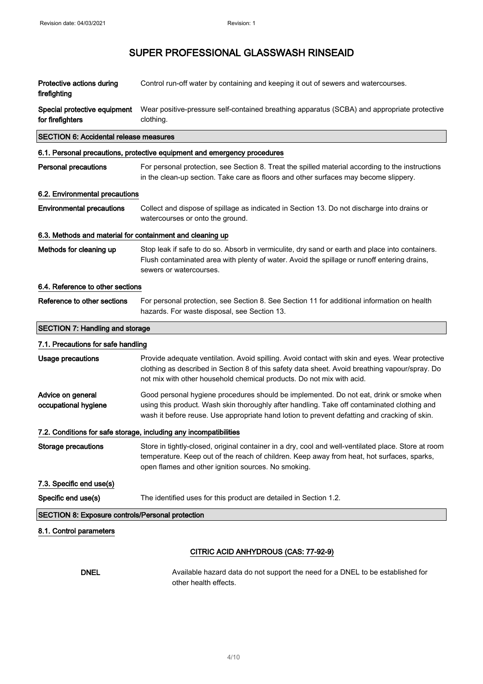| Protective actions during<br>firefighting                 | Control run-off water by containing and keeping it out of sewers and watercourses.                                                                                                                                                                                                     |
|-----------------------------------------------------------|----------------------------------------------------------------------------------------------------------------------------------------------------------------------------------------------------------------------------------------------------------------------------------------|
| Special protective equipment<br>for firefighters          | Wear positive-pressure self-contained breathing apparatus (SCBA) and appropriate protective<br>clothing.                                                                                                                                                                               |
| <b>SECTION 6: Accidental release measures</b>             |                                                                                                                                                                                                                                                                                        |
|                                                           | 6.1. Personal precautions, protective equipment and emergency procedures                                                                                                                                                                                                               |
| Personal precautions                                      | For personal protection, see Section 8. Treat the spilled material according to the instructions<br>in the clean-up section. Take care as floors and other surfaces may become slippery.                                                                                               |
| 6.2. Environmental precautions                            |                                                                                                                                                                                                                                                                                        |
| <b>Environmental precautions</b>                          | Collect and dispose of spillage as indicated in Section 13. Do not discharge into drains or<br>watercourses or onto the ground.                                                                                                                                                        |
| 6.3. Methods and material for containment and cleaning up |                                                                                                                                                                                                                                                                                        |
| Methods for cleaning up                                   | Stop leak if safe to do so. Absorb in vermiculite, dry sand or earth and place into containers.<br>Flush contaminated area with plenty of water. Avoid the spillage or runoff entering drains,<br>sewers or watercourses.                                                              |
| 6.4. Reference to other sections                          |                                                                                                                                                                                                                                                                                        |
| Reference to other sections                               | For personal protection, see Section 8. See Section 11 for additional information on health<br>hazards. For waste disposal, see Section 13.                                                                                                                                            |
| <b>SECTION 7: Handling and storage</b>                    |                                                                                                                                                                                                                                                                                        |
| 7.1. Precautions for safe handling                        |                                                                                                                                                                                                                                                                                        |
| Usage precautions                                         | Provide adequate ventilation. Avoid spilling. Avoid contact with skin and eyes. Wear protective<br>clothing as described in Section 8 of this safety data sheet. Avoid breathing vapour/spray. Do<br>not mix with other household chemical products. Do not mix with acid.             |
| Advice on general<br>occupational hygiene                 | Good personal hygiene procedures should be implemented. Do not eat, drink or smoke when<br>using this product. Wash skin thoroughly after handling. Take off contaminated clothing and<br>wash it before reuse. Use appropriate hand lotion to prevent defatting and cracking of skin. |
|                                                           | 7.2. Conditions for safe storage, including any incompatibilities                                                                                                                                                                                                                      |
| <b>Storage precautions</b>                                | Store in tightly-closed, original container in a dry, cool and well-ventilated place. Store at room<br>temperature. Keep out of the reach of children. Keep away from heat, hot surfaces, sparks,<br>open flames and other ignition sources. No smoking.                               |
| 7.3. Specific end use(s)                                  |                                                                                                                                                                                                                                                                                        |
| Specific end use(s)                                       | The identified uses for this product are detailed in Section 1.2.                                                                                                                                                                                                                      |
| <b>SECTION 8: Exposure controls/Personal protection</b>   |                                                                                                                                                                                                                                                                                        |
| 8.1. Control parameters                                   |                                                                                                                                                                                                                                                                                        |
|                                                           | CITRIC ACID ANHYDROUS (CAS: 77-92-9)                                                                                                                                                                                                                                                   |
|                                                           |                                                                                                                                                                                                                                                                                        |

DNEL Available hazard data do not support the need for a DNEL to be established for other health effects.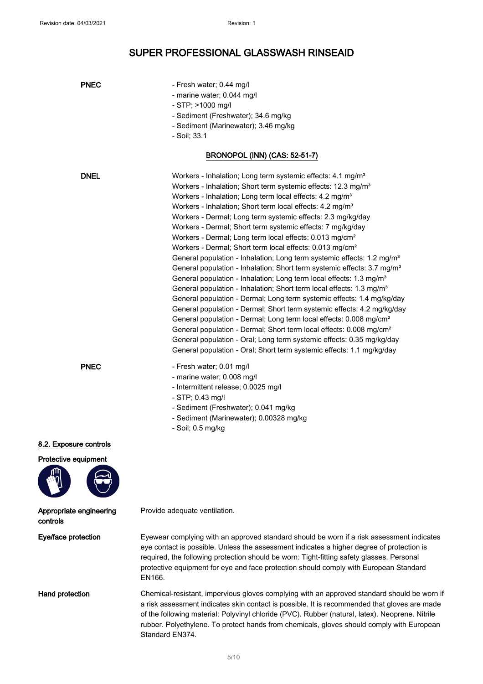| <b>PNEC</b>                                    | - Fresh water; 0.44 mg/l<br>- marine water; 0.044 mg/l<br>$-$ STP; $>$ 1000 mg/l<br>- Sediment (Freshwater); 34.6 mg/kg<br>- Sediment (Marinewater); 3.46 mg/kg                                                                                                                                                                                                                                                                                                                                                                                                                                                                                                                                                                                                                                                                                                                                                                                                                                                                                                                                                                                                                                                                                                                                                                                                                                                   |
|------------------------------------------------|-------------------------------------------------------------------------------------------------------------------------------------------------------------------------------------------------------------------------------------------------------------------------------------------------------------------------------------------------------------------------------------------------------------------------------------------------------------------------------------------------------------------------------------------------------------------------------------------------------------------------------------------------------------------------------------------------------------------------------------------------------------------------------------------------------------------------------------------------------------------------------------------------------------------------------------------------------------------------------------------------------------------------------------------------------------------------------------------------------------------------------------------------------------------------------------------------------------------------------------------------------------------------------------------------------------------------------------------------------------------------------------------------------------------|
|                                                | - Soil; 33.1<br><b>BRONOPOL (INN) (CAS: 52-51-7)</b>                                                                                                                                                                                                                                                                                                                                                                                                                                                                                                                                                                                                                                                                                                                                                                                                                                                                                                                                                                                                                                                                                                                                                                                                                                                                                                                                                              |
| <b>DNEL</b>                                    | Workers - Inhalation; Long term systemic effects: 4.1 mg/m <sup>3</sup><br>Workers - Inhalation; Short term systemic effects: 12.3 mg/m <sup>3</sup><br>Workers - Inhalation; Long term local effects: 4.2 mg/m <sup>3</sup><br>Workers - Inhalation; Short term local effects: 4.2 mg/m <sup>3</sup><br>Workers - Dermal; Long term systemic effects: 2.3 mg/kg/day<br>Workers - Dermal; Short term systemic effects: 7 mg/kg/day<br>Workers - Dermal; Long term local effects: 0.013 mg/cm <sup>2</sup><br>Workers - Dermal; Short term local effects: 0.013 mg/cm <sup>2</sup><br>General population - Inhalation; Long term systemic effects: 1.2 mg/m <sup>3</sup><br>General population - Inhalation; Short term systemic effects: 3.7 mg/m <sup>3</sup><br>General population - Inhalation; Long term local effects: 1.3 mg/m <sup>3</sup><br>General population - Inhalation; Short term local effects: 1.3 mg/m <sup>3</sup><br>General population - Dermal; Long term systemic effects: 1.4 mg/kg/day<br>General population - Dermal; Short term systemic effects: 4.2 mg/kg/day<br>General population - Dermal; Long term local effects: 0.008 mg/cm <sup>2</sup><br>General population - Dermal; Short term local effects: 0.008 mg/cm <sup>2</sup><br>General population - Oral; Long term systemic effects: 0.35 mg/kg/day<br>General population - Oral; Short term systemic effects: 1.1 mg/kg/day |
| <b>PNEC</b>                                    | - Fresh water; 0.01 mg/l<br>- marine water; 0.008 mg/l<br>- Intermittent release; 0.0025 mg/l<br>$-$ STP; 0.43 mg/l<br>- Sediment (Freshwater); 0.041 mg/kg<br>- Sediment (Marinewater); 0.00328 mg/kg<br>- Soil; 0.5 mg/kg                                                                                                                                                                                                                                                                                                                                                                                                                                                                                                                                                                                                                                                                                                                                                                                                                                                                                                                                                                                                                                                                                                                                                                                       |
| 8.2. Exposure controls<br>Protective equipment |                                                                                                                                                                                                                                                                                                                                                                                                                                                                                                                                                                                                                                                                                                                                                                                                                                                                                                                                                                                                                                                                                                                                                                                                                                                                                                                                                                                                                   |
| Appropriate engineering<br>controls            | Provide adequate ventilation.                                                                                                                                                                                                                                                                                                                                                                                                                                                                                                                                                                                                                                                                                                                                                                                                                                                                                                                                                                                                                                                                                                                                                                                                                                                                                                                                                                                     |
| Eye/face protection                            | Eyewear complying with an approved standard should be worn if a risk assessment indicates<br>eye contact is possible. Unless the assessment indicates a higher degree of protection is<br>required, the following protection should be worn: Tight-fitting safety glasses. Personal<br>protective equipment for eye and face protection should comply with European Standard<br>EN166.                                                                                                                                                                                                                                                                                                                                                                                                                                                                                                                                                                                                                                                                                                                                                                                                                                                                                                                                                                                                                            |
| <b>Hand protection</b>                         | Chemical-resistant, impervious gloves complying with an approved standard should be worn if<br>a risk assessment indicates skin contact is possible. It is recommended that gloves are made<br>of the following material: Polyvinyl chloride (PVC). Rubber (natural, latex). Neoprene. Nitrile<br>rubber. Polyethylene. To protect hands from chemicals, gloves should comply with European                                                                                                                                                                                                                                                                                                                                                                                                                                                                                                                                                                                                                                                                                                                                                                                                                                                                                                                                                                                                                       |

Standard EN374.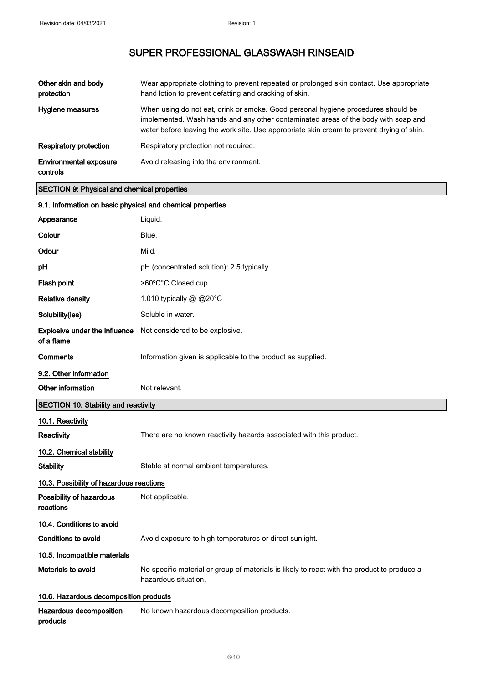| Other skin and body<br>protection         | Wear appropriate clothing to prevent repeated or prolonged skin contact. Use appropriate<br>hand lotion to prevent defatting and cracking of skin.                                                                                                                   |
|-------------------------------------------|----------------------------------------------------------------------------------------------------------------------------------------------------------------------------------------------------------------------------------------------------------------------|
| Hygiene measures                          | When using do not eat, drink or smoke. Good personal hygiene procedures should be<br>implemented. Wash hands and any other contaminated areas of the body with soap and<br>water before leaving the work site. Use appropriate skin cream to prevent drying of skin. |
| Respiratory protection                    | Respiratory protection not required.                                                                                                                                                                                                                                 |
| <b>Environmental exposure</b><br>controls | Avoid releasing into the environment.                                                                                                                                                                                                                                |

### SECTION 9: Physical and chemical properties

| 9.1. Information on basic physical and chemical properties |                                                                                                                     |  |
|------------------------------------------------------------|---------------------------------------------------------------------------------------------------------------------|--|
| Appearance                                                 | Liquid.                                                                                                             |  |
| Colour                                                     | Blue.                                                                                                               |  |
| Odour                                                      | Mild.                                                                                                               |  |
| pH                                                         | pH (concentrated solution): 2.5 typically                                                                           |  |
| Flash point                                                | >60°C°C Closed cup.                                                                                                 |  |
| <b>Relative density</b>                                    | 1.010 typically @ @20°C                                                                                             |  |
| Solubility(ies)                                            | Soluble in water.                                                                                                   |  |
| <b>Explosive under the influence</b><br>of a flame         | Not considered to be explosive.                                                                                     |  |
| Comments                                                   | Information given is applicable to the product as supplied.                                                         |  |
| 9.2. Other information                                     |                                                                                                                     |  |
| Other information                                          | Not relevant.                                                                                                       |  |
| <b>SECTION 10: Stability and reactivity</b>                |                                                                                                                     |  |
| 10.1. Reactivity                                           |                                                                                                                     |  |
| <b>Reactivity</b>                                          | There are no known reactivity hazards associated with this product.                                                 |  |
| 10.2. Chemical stability                                   |                                                                                                                     |  |
| <b>Stability</b>                                           | Stable at normal ambient temperatures.                                                                              |  |
| 10.3. Possibility of hazardous reactions                   |                                                                                                                     |  |
| Possibility of hazardous<br>reactions                      | Not applicable.                                                                                                     |  |
| 10.4. Conditions to avoid                                  |                                                                                                                     |  |
| <b>Conditions to avoid</b>                                 | Avoid exposure to high temperatures or direct sunlight.                                                             |  |
| 10.5. Incompatible materials                               |                                                                                                                     |  |
| Materials to avoid                                         | No specific material or group of materials is likely to react with the product to produce a<br>hazardous situation. |  |
| 10.6. Hazardous decomposition products                     |                                                                                                                     |  |
| Hazardous decomposition<br>products                        | No known hazardous decomposition products.                                                                          |  |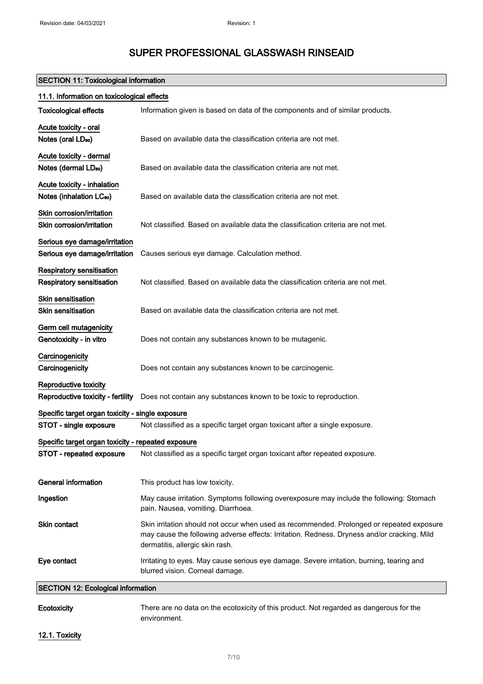### SECTION 11: Toxicological information

| 11.1. Information on toxicological effects         |                                                                                                                                                                                                                             |  |
|----------------------------------------------------|-----------------------------------------------------------------------------------------------------------------------------------------------------------------------------------------------------------------------------|--|
| <b>Toxicological effects</b>                       | Information given is based on data of the components and of similar products.                                                                                                                                               |  |
| Acute toxicity - oral                              |                                                                                                                                                                                                                             |  |
| Notes (oral LD <sub>50</sub> )                     | Based on available data the classification criteria are not met.                                                                                                                                                            |  |
| Acute toxicity - dermal                            |                                                                                                                                                                                                                             |  |
| Notes (dermal LD <sub>50</sub> )                   | Based on available data the classification criteria are not met.                                                                                                                                                            |  |
| Acute toxicity - inhalation                        |                                                                                                                                                                                                                             |  |
| Notes (inhalation LC <sub>50</sub> )               | Based on available data the classification criteria are not met.                                                                                                                                                            |  |
| Skin corrosion/irritation                          |                                                                                                                                                                                                                             |  |
| Skin corrosion/irritation                          | Not classified. Based on available data the classification criteria are not met.                                                                                                                                            |  |
| Serious eye damage/irritation                      |                                                                                                                                                                                                                             |  |
| Serious eye damage/irritation                      | Causes serious eye damage. Calculation method.                                                                                                                                                                              |  |
| Respiratory sensitisation                          |                                                                                                                                                                                                                             |  |
| Respiratory sensitisation                          | Not classified. Based on available data the classification criteria are not met.                                                                                                                                            |  |
| <b>Skin sensitisation</b>                          |                                                                                                                                                                                                                             |  |
| <b>Skin sensitisation</b>                          | Based on available data the classification criteria are not met.                                                                                                                                                            |  |
| Germ cell mutagenicity                             |                                                                                                                                                                                                                             |  |
| Genotoxicity - in vitro                            | Does not contain any substances known to be mutagenic.                                                                                                                                                                      |  |
| Carcinogenicity                                    |                                                                                                                                                                                                                             |  |
| Carcinogenicity                                    | Does not contain any substances known to be carcinogenic.                                                                                                                                                                   |  |
| Reproductive toxicity                              |                                                                                                                                                                                                                             |  |
| Reproductive toxicity - fertility                  | Does not contain any substances known to be toxic to reproduction.                                                                                                                                                          |  |
| Specific target organ toxicity - single exposure   |                                                                                                                                                                                                                             |  |
| STOT - single exposure                             | Not classified as a specific target organ toxicant after a single exposure.                                                                                                                                                 |  |
| Specific target organ toxicity - repeated exposure |                                                                                                                                                                                                                             |  |
| STOT - repeated exposure                           | Not classified as a specific target organ toxicant after repeated exposure.                                                                                                                                                 |  |
| <b>General information</b>                         | This product has low toxicity.                                                                                                                                                                                              |  |
|                                                    |                                                                                                                                                                                                                             |  |
| Ingestion                                          | May cause irritation. Symptoms following overexposure may include the following: Stomach<br>pain. Nausea, vomiting. Diarrhoea.                                                                                              |  |
| Skin contact                                       | Skin irritation should not occur when used as recommended. Prolonged or repeated exposure<br>may cause the following adverse effects: Irritation. Redness. Dryness and/or cracking. Mild<br>dermatitis, allergic skin rash. |  |
| Eye contact                                        | Irritating to eyes. May cause serious eye damage. Severe irritation, burning, tearing and<br>blurred vision. Corneal damage.                                                                                                |  |
| <b>SECTION 12: Ecological information</b>          |                                                                                                                                                                                                                             |  |
| Ecotoxicity                                        | There are no data on the ecotoxicity of this product. Not regarded as dangerous for the                                                                                                                                     |  |

12.1. Toxicity

environment.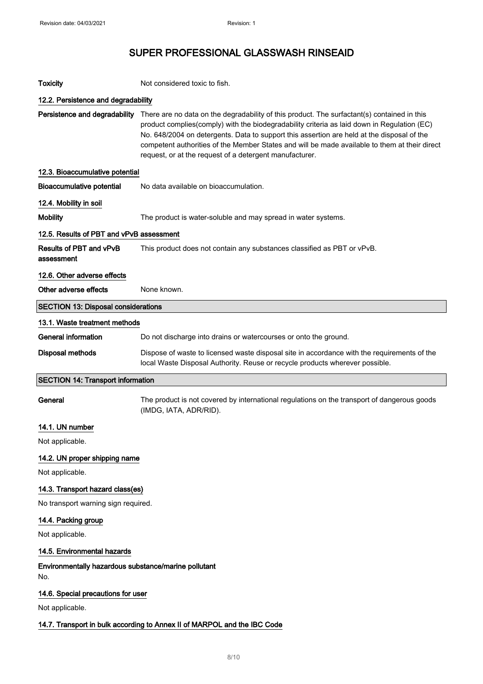| <b>Toxicity</b>                                             | Not considered toxic to fish.                                                                                                                                                                                                                                                                                                                                                                                                                        |
|-------------------------------------------------------------|------------------------------------------------------------------------------------------------------------------------------------------------------------------------------------------------------------------------------------------------------------------------------------------------------------------------------------------------------------------------------------------------------------------------------------------------------|
| 12.2. Persistence and degradability                         |                                                                                                                                                                                                                                                                                                                                                                                                                                                      |
| Persistence and degradability                               | There are no data on the degradability of this product. The surfactant(s) contained in this<br>product complies(comply) with the biodegradability criteria as laid down in Regulation (EC)<br>No. 648/2004 on detergents. Data to support this assertion are held at the disposal of the<br>competent authorities of the Member States and will be made available to them at their direct<br>request, or at the request of a detergent manufacturer. |
| 12.3. Bioaccumulative potential                             |                                                                                                                                                                                                                                                                                                                                                                                                                                                      |
| <b>Bioaccumulative potential</b>                            | No data available on bioaccumulation.                                                                                                                                                                                                                                                                                                                                                                                                                |
| 12.4. Mobility in soil                                      |                                                                                                                                                                                                                                                                                                                                                                                                                                                      |
| <b>Mobility</b>                                             | The product is water-soluble and may spread in water systems.                                                                                                                                                                                                                                                                                                                                                                                        |
| 12.5. Results of PBT and vPvB assessment                    |                                                                                                                                                                                                                                                                                                                                                                                                                                                      |
| Results of PBT and vPvB<br>assessment                       | This product does not contain any substances classified as PBT or vPvB.                                                                                                                                                                                                                                                                                                                                                                              |
| 12.6. Other adverse effects                                 |                                                                                                                                                                                                                                                                                                                                                                                                                                                      |
| Other adverse effects                                       | None known.                                                                                                                                                                                                                                                                                                                                                                                                                                          |
| <b>SECTION 13: Disposal considerations</b>                  |                                                                                                                                                                                                                                                                                                                                                                                                                                                      |
| 13.1. Waste treatment methods                               |                                                                                                                                                                                                                                                                                                                                                                                                                                                      |
| <b>General information</b>                                  | Do not discharge into drains or watercourses or onto the ground.                                                                                                                                                                                                                                                                                                                                                                                     |
| <b>Disposal methods</b>                                     | Dispose of waste to licensed waste disposal site in accordance with the requirements of the<br>local Waste Disposal Authority. Reuse or recycle products wherever possible.                                                                                                                                                                                                                                                                          |
| <b>SECTION 14: Transport information</b>                    |                                                                                                                                                                                                                                                                                                                                                                                                                                                      |
| General                                                     | The product is not covered by international regulations on the transport of dangerous goods<br>(IMDG, IATA, ADR/RID).                                                                                                                                                                                                                                                                                                                                |
|                                                             |                                                                                                                                                                                                                                                                                                                                                                                                                                                      |
| 14.1. UN number                                             |                                                                                                                                                                                                                                                                                                                                                                                                                                                      |
| Not applicable.                                             |                                                                                                                                                                                                                                                                                                                                                                                                                                                      |
| 14.2. UN proper shipping name                               |                                                                                                                                                                                                                                                                                                                                                                                                                                                      |
| Not applicable.                                             |                                                                                                                                                                                                                                                                                                                                                                                                                                                      |
| 14.3. Transport hazard class(es)                            |                                                                                                                                                                                                                                                                                                                                                                                                                                                      |
| No transport warning sign required.                         |                                                                                                                                                                                                                                                                                                                                                                                                                                                      |
| 14.4. Packing group                                         |                                                                                                                                                                                                                                                                                                                                                                                                                                                      |
| Not applicable.                                             |                                                                                                                                                                                                                                                                                                                                                                                                                                                      |
| 14.5. Environmental hazards                                 |                                                                                                                                                                                                                                                                                                                                                                                                                                                      |
| Environmentally hazardous substance/marine pollutant<br>No. |                                                                                                                                                                                                                                                                                                                                                                                                                                                      |
| 14.6. Special precautions for user                          |                                                                                                                                                                                                                                                                                                                                                                                                                                                      |
| Not applicable.                                             |                                                                                                                                                                                                                                                                                                                                                                                                                                                      |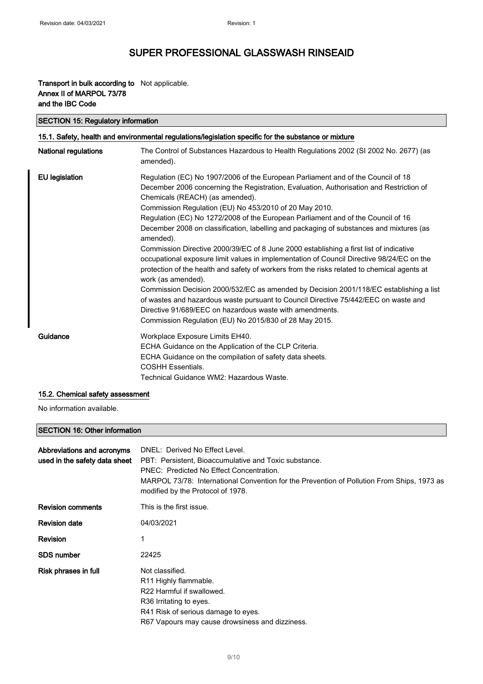### Transport in bulk according to Not applicable. Annex II of MARPOL 73/78 and the IBC Code

| <b>SECTION 15: Regulatory information</b>                                                            |                                                                                                                                                                                                                                                                                                                                                                                                                                                                                                                                                                                                                                                                                                                                                                                                                                                                                                                                                                                                                                                                                         |  |
|------------------------------------------------------------------------------------------------------|-----------------------------------------------------------------------------------------------------------------------------------------------------------------------------------------------------------------------------------------------------------------------------------------------------------------------------------------------------------------------------------------------------------------------------------------------------------------------------------------------------------------------------------------------------------------------------------------------------------------------------------------------------------------------------------------------------------------------------------------------------------------------------------------------------------------------------------------------------------------------------------------------------------------------------------------------------------------------------------------------------------------------------------------------------------------------------------------|--|
| 15.1. Safety, health and environmental regulations/legislation specific for the substance or mixture |                                                                                                                                                                                                                                                                                                                                                                                                                                                                                                                                                                                                                                                                                                                                                                                                                                                                                                                                                                                                                                                                                         |  |
| National regulations                                                                                 | The Control of Substances Hazardous to Health Regulations 2002 (SI 2002 No. 2677) (as<br>amended).                                                                                                                                                                                                                                                                                                                                                                                                                                                                                                                                                                                                                                                                                                                                                                                                                                                                                                                                                                                      |  |
| <b>EU</b> legislation                                                                                | Regulation (EC) No 1907/2006 of the European Parliament and of the Council of 18<br>December 2006 concerning the Registration, Evaluation, Authorisation and Restriction of<br>Chemicals (REACH) (as amended).<br>Commission Regulation (EU) No 453/2010 of 20 May 2010.<br>Regulation (EC) No 1272/2008 of the European Parliament and of the Council of 16<br>December 2008 on classification, labelling and packaging of substances and mixtures (as<br>amended).<br>Commission Directive 2000/39/EC of 8 June 2000 establishing a first list of indicative<br>occupational exposure limit values in implementation of Council Directive 98/24/EC on the<br>protection of the health and safety of workers from the risks related to chemical agents at<br>work (as amended).<br>Commission Decision 2000/532/EC as amended by Decision 2001/118/EC establishing a list<br>of wastes and hazardous waste pursuant to Council Directive 75/442/EEC on waste and<br>Directive 91/689/EEC on hazardous waste with amendments.<br>Commission Regulation (EU) No 2015/830 of 28 May 2015. |  |
| Guidance                                                                                             | Workplace Exposure Limits EH40.<br>ECHA Guidance on the Application of the CLP Criteria.<br>ECHA Guidance on the compilation of safety data sheets.<br><b>COSHH Essentials.</b><br>Technical Guidance WM2: Hazardous Waste.                                                                                                                                                                                                                                                                                                                                                                                                                                                                                                                                                                                                                                                                                                                                                                                                                                                             |  |

#### 15.2. Chemical safety assessment

No information available.

### SECTION 16: Other information

| Abbreviations and acronyms<br>used in the safety data sheet | DNEL: Derived No Effect Level.<br>PBT: Persistent, Bioaccumulative and Toxic substance.<br>PNEC: Predicted No Effect Concentration.<br>MARPOL 73/78: International Convention for the Prevention of Pollution From Ships, 1973 as<br>modified by the Protocol of 1978. |
|-------------------------------------------------------------|------------------------------------------------------------------------------------------------------------------------------------------------------------------------------------------------------------------------------------------------------------------------|
| <b>Revision comments</b>                                    | This is the first issue.                                                                                                                                                                                                                                               |
| <b>Revision date</b>                                        | 04/03/2021                                                                                                                                                                                                                                                             |
| <b>Revision</b>                                             |                                                                                                                                                                                                                                                                        |
| <b>SDS number</b>                                           | 22425                                                                                                                                                                                                                                                                  |
| Risk phrases in full                                        | Not classified.<br>R <sub>11</sub> Highly flammable.<br>R22 Harmful if swallowed.<br>R36 Irritating to eyes.<br>R41 Risk of serious damage to eyes.<br>R67 Vapours may cause drowsiness and dizziness.                                                                 |